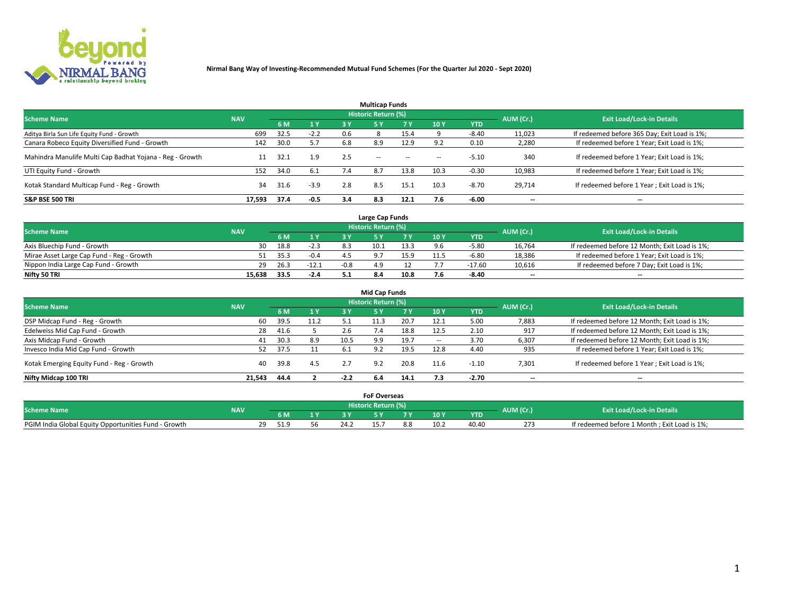

|                                                          |            |      |        |     | <b>Multicap Funds</b> |           |                          |            |           |                                              |
|----------------------------------------------------------|------------|------|--------|-----|-----------------------|-----------|--------------------------|------------|-----------|----------------------------------------------|
| <b>Scheme Name</b>                                       | <b>NAV</b> |      |        |     | Historic Return (%)   |           |                          |            | AUM (Cr.) | <b>Exit Load/Lock-in Details</b>             |
|                                                          |            | 6 M  | 1 Y    | 3 Y | <b>5Y</b>             | <b>7Y</b> | 10Y                      | <b>YTD</b> |           |                                              |
| Aditya Birla Sun Life Equity Fund - Growth               | 699        | 32.5 | $-2.2$ | 0.6 |                       | 15.4      |                          | $-8.40$    | 11,023    | If redeemed before 365 Day; Exit Load is 1%; |
| Canara Robeco Equity Diversified Fund - Growth           | 142        | 30.0 | 5.7    | 6.8 | 8.9                   | 12.9      | 9.2                      | 0.10       | 2,280     | If redeemed before 1 Year; Exit Load is 1%;  |
| Mahindra Manulife Multi Cap Badhat Yojana - Reg - Growth | 11         | 32.1 | 1.9    | 2.5 | $\sim$ $-$            | $\sim$    | $\overline{\phantom{a}}$ | $-5.10$    | 340       | If redeemed before 1 Year; Exit Load is 1%;  |
| UTI Equity Fund - Growth                                 | 152        | 34.0 | 6.1    | 7.4 | 8.7                   | 13.8      | 10.3                     | $-0.30$    | 10,983    | If redeemed before 1 Year; Exit Load is 1%;  |
| Kotak Standard Multicap Fund - Reg - Growth              | 34         | 31.6 | $-3.9$ | 2.8 | 8.5                   | 15.1      | 10.3                     | $-8.70$    | 29.714    | If redeemed before 1 Year; Exit Load is 1%;  |
| <b>S&amp;P BSE 500 TRI</b>                               | 17.593     | 37.4 | $-0.5$ | 3.4 | 8.3                   | 12.1      |                          | $-6.00$    | --        | $- -$                                        |

|                                           |            |      |                |        | Large Cap Funds     |      |      |            |                          |                                               |
|-------------------------------------------|------------|------|----------------|--------|---------------------|------|------|------------|--------------------------|-----------------------------------------------|
| <b>Scheme Name</b>                        | <b>NAV</b> |      |                |        | Historic Return (%) |      |      |            | AUM (Cr.)                | <b>Exit Load/Lock-in Details</b>              |
|                                           |            | 6 M  | 4 <sub>Y</sub> |        |                     |      | 10 Y | <b>YTD</b> |                          |                                               |
| Axis Bluechip Fund - Growth               | 30         | 18.8 | $-2.3$         | 8.3    | 10.1                | 13.3 |      | $-5.80$    | 16,764                   | If redeemed before 12 Month; Exit Load is 1%; |
| Mirae Asset Large Cap Fund - Reg - Growth |            | 35.3 | $-0.4$         |        |                     | 15.9 |      | $-6.80$    | 18,386                   | If redeemed before 1 Year; Exit Load is 1%;   |
| Nippon India Large Cap Fund - Growth      | 29.        | 26.3 | $-12.1$        | $-0.8$ |                     |      |      | $-17.60$   | 10,616                   | If redeemed before 7 Day; Exit Load is 1%;    |
| Nifty 50 TRI                              | 15.638     | 33.5 | $-2.4$         |        |                     | 10.8 |      | $-8.40$    | $\overline{\phantom{a}}$ | $- -$                                         |

|                                           |            |      |      |        | <b>Mid Cap Funds</b>       |      |            |            |                          |                                               |
|-------------------------------------------|------------|------|------|--------|----------------------------|------|------------|------------|--------------------------|-----------------------------------------------|
| <b>Scheme Name</b>                        | <b>NAV</b> |      |      |        | <b>Historic Return (%)</b> |      |            |            | AUM (Cr.)                | <b>Exit Load/Lock-in Details</b>              |
|                                           |            | 6 M  | 1 Y  | 3 Y    |                            | 7 V. | <b>10Y</b> | <b>YTD</b> |                          |                                               |
| DSP Midcap Fund - Reg - Growth            | 60         | 39.5 | 11.2 |        | 11.3                       | 20.7 | 12.1       | 5.00       | 7,883                    | If redeemed before 12 Month; Exit Load is 1%; |
| Edelweiss Mid Cap Fund - Growth           | 28         | 41.6 |      | 2.6    | 7.4                        | 18.8 | 12.5       | 2.10       | 917                      | If redeemed before 12 Month; Exit Load is 1%; |
| Axis Midcap Fund - Growth                 | 41         | 30.3 | 8.9  | 10.5   | 9.9                        | 19.7 | -          | 3.70       | 6,307                    | If redeemed before 12 Month; Exit Load is 1%; |
| Invesco India Mid Cap Fund - Growth       | 52         | 37.5 | 11   | 6.1    | 9.2                        | 19.5 | 12.8       | 4.40       | 935                      | If redeemed before 1 Year; Exit Load is 1%;   |
| Kotak Emerging Equity Fund - Reg - Growth | 40         | 39.8 | 4.5  |        | 9.2                        | 20.8 | 11.6       | $-1.10$    | 7,301                    | If redeemed before 1 Year; Exit Load is 1%;   |
| Nifty Midcap 100 TRI                      | 21.543     | 44.4 |      | $-2.2$ | 6.4                        | 14.1 |            | -2.70      | $\overline{\phantom{a}}$ | $- -$                                         |

|                                                      |            |      |    |      | <b>FoF Overseas</b> |      |            |           |                                              |
|------------------------------------------------------|------------|------|----|------|---------------------|------|------------|-----------|----------------------------------------------|
| <b>Scheme Name</b>                                   | <b>NAV</b> |      |    |      | Historic Return (%) |      |            | AUM (Cr.) | <b>Exit Load/Lock-in Details</b>             |
|                                                      |            | 6 M  | 1Y |      |                     | 10 Y | <b>YTD</b> |           |                                              |
| PGIM India Global Equity Opportunities Fund - Growth |            | ىن1ر |    | 24.2 |                     |      | 40.40      | 273       | If redeemed before 1 Month; Exit Load is 1%; |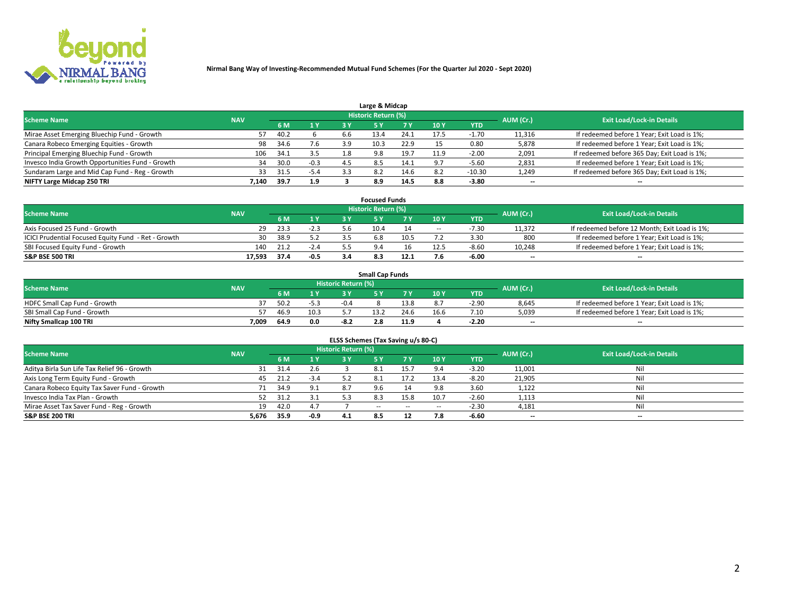

|                                                  |            |      |        |     | Large & Midcap      |      |             |          |                          |                                              |
|--------------------------------------------------|------------|------|--------|-----|---------------------|------|-------------|----------|--------------------------|----------------------------------------------|
| <b>Scheme Name</b>                               | <b>NAV</b> |      |        |     | Historic Return (%) |      |             |          | AUM (Cr.)                | <b>Exit Load/Lock-in Details</b>             |
|                                                  |            | 6 M  | 1Y     | 3 Y |                     | 7 Y  | 10Y         | YTD      |                          |                                              |
| Mirae Asset Emerging Bluechip Fund - Growth      | 57         | 40.2 |        | b.b |                     | 24.1 |             | $-1.70$  | 11,316                   | If redeemed before 1 Year; Exit Load is 1%;  |
| Canara Robeco Emerging Equities - Growth         | 98         | 34.6 | 7.6    | 3.9 | 10.3                | 22.9 |             | 0.80     | 5,878                    | If redeemed before 1 Year; Exit Load is 1%;  |
| Principal Emerging Bluechip Fund - Growth        | 106        | 34.1 | 3.5    | 1.8 | 9.8                 | 19.7 | 11.9        | $-2.00$  | 2,091                    | If redeemed before 365 Day; Exit Load is 1%; |
| Invesco India Growth Opportunities Fund - Growth | 34         | 30.0 | $-0.3$ |     | 8.5                 | 14.1 | <u>ດ - </u> | $-5.60$  | 2,831                    | If redeemed before 1 Year; Exit Load is 1%;  |
| Sundaram Large and Mid Cap Fund - Reg - Growth   | 33         | 31.5 | $-5.4$ |     | 8.2                 | 14.6 | 8.2         | $-10.30$ | 1,249                    | If redeemed before 365 Day; Exit Load is 1%; |
| NIFTY Large Midcap 250 TRI                       | 7.140      | 39.7 | 1.9    |     | 8.9                 | 14.5 | 8.8         | $-3.80$  | $\overline{\phantom{a}}$ | $- -$                                        |

|                                                     |            |      |        | <b>Focused Funds</b>       |      |        |            |                          |                                               |
|-----------------------------------------------------|------------|------|--------|----------------------------|------|--------|------------|--------------------------|-----------------------------------------------|
| <b>Scheme Name</b>                                  | <b>NAV</b> |      |        | <b>Historic Return (%)</b> |      |        |            | AUM (Cr.)                | <b>Exit Load/Lock-in Details</b>              |
|                                                     |            | 6 M  | 1 Y    |                            |      | 10 Y   | <b>YTD</b> |                          |                                               |
| Axis Focused 25 Fund - Growth                       | 29         | 23.3 | $-2.3$ | 10.4                       |      | $\sim$ | -7.30      | 11.372                   | If redeemed before 12 Month; Exit Load is 1%; |
| ICICI Prudential Focused Equity Fund - Ret - Growth | 30         | 38.9 | 5.2    | 6.8                        | 10.5 |        | 3.30       | 800                      | If redeemed before 1 Year; Exit Load is 1%;   |
| SBI Focused Equity Fund - Growth                    | 140        | 21.2 | $-2.4$ |                            |      |        | $-8.6c$    | 10,248                   | If redeemed before 1 Year; Exit Load is 1%;   |
| <b>S&amp;P BSE 500 TRI</b>                          | 17.593     | 37.4 | $-0.5$ |                            |      |        | $-6.00$    | $\overline{\phantom{a}}$ | $- -$                                         |

| <b>Small Cap Funds</b>       |            |      |      |                     |      |      |                 |            |                                  |                                             |  |  |  |
|------------------------------|------------|------|------|---------------------|------|------|-----------------|------------|----------------------------------|---------------------------------------------|--|--|--|
| <b>Scheme Name</b>           | <b>NAV</b> |      |      | Historic Return (%) |      |      |                 | AUM (Cr.)  | <b>Exit Load/Lock-in Details</b> |                                             |  |  |  |
|                              |            | 6 M  | 1 Y  |                     |      |      | 10 <sub>Y</sub> | <b>YTD</b> |                                  |                                             |  |  |  |
| HDFC Small Cap Fund - Growth |            | 50.2 | -5.3 | $-0.4$              |      | 3.8ء |                 | $-2.90$    | 8,645                            | If redeemed before 1 Year; Exit Load is 1%; |  |  |  |
| SBI Small Cap Fund - Growth  |            | 46.9 | 10.3 |                     | 13.2 | 24.6 | 16.6            | 7.10       | 5,039                            | If redeemed before 1 Year; Exit Load is 1%; |  |  |  |
| Nifty Smallcap 100 TRI       | 7.009      | 64.° | 0.0  | $-8.2$              | 2.8  | 11.9 |                 | $-2.20$    | $- -$                            | $- -$                                       |  |  |  |

| ELSS Schemes (Tax Saving u/s 80-C)           |            |      |        |                            |            |        |                          |            |                          |                                  |  |  |  |
|----------------------------------------------|------------|------|--------|----------------------------|------------|--------|--------------------------|------------|--------------------------|----------------------------------|--|--|--|
| <b>Scheme Name</b>                           | <b>NAV</b> |      |        | <b>Historic Return (%)</b> |            |        |                          |            | AUM (Cr.)                | <b>Exit Load/Lock-in Details</b> |  |  |  |
|                                              |            | 6 M  | 1 Y    | 3 ۷                        | <b>5Y</b>  | 7 Y    | 10Y                      | <b>YTD</b> |                          |                                  |  |  |  |
| Aditya Birla Sun Life Tax Relief 96 - Growth | 31         | 31.4 | 2.6    |                            | <b>8.1</b> | 15.7   | <u>u /</u>               | $-3.20$    | 11,001                   | Nil                              |  |  |  |
| Axis Long Term Equity Fund - Growth          | 45         | 21.2 | $-3.4$ | 5.2                        | -8.1       | 17.2   | 13.4                     | $-8.20$    | 21,905                   | Nil                              |  |  |  |
| Canara Robeco Equity Tax Saver Fund - Growth | 71         | 34.9 | 9.1    | 8.7                        | 9.6        | 14     | 9.8                      | 3.60       | 1,122                    | Nil                              |  |  |  |
| Invesco India Tax Plan - Growth              | 52         | 31.2 | 3.1    |                            | 8.3        | 15.8   | 10.7                     | $-2.60$    | 1,113                    | Nil                              |  |  |  |
| Mirae Asset Tax Saver Fund - Reg - Growth    | 19         | 42.0 | 4.7    |                            | $\sim$ $-$ | $\sim$ | $\overline{\phantom{a}}$ | $-2.30$    | 4,181                    | Nil                              |  |  |  |
| S&P BSE 200 TRI                              | 5,676      | 35.9 | $-0.9$ |                            | 8.5        |        |                          | $-6.60$    | $\overline{\phantom{a}}$ | $- -$                            |  |  |  |

# 2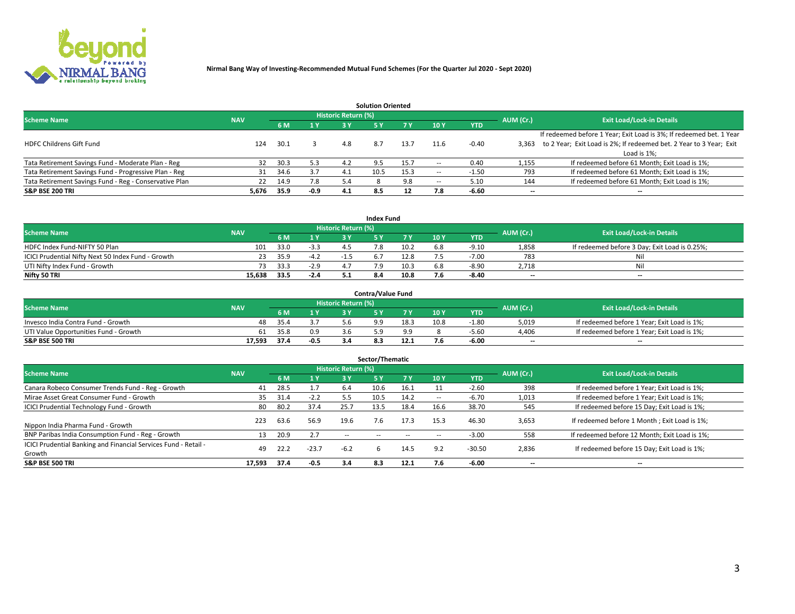

|                                                        |            |            |        |                            | <b>Solution Oriented</b> |      |                          |              |                          |                                                                     |
|--------------------------------------------------------|------------|------------|--------|----------------------------|--------------------------|------|--------------------------|--------------|--------------------------|---------------------------------------------------------------------|
| <b>Scheme Name</b>                                     | <b>NAV</b> |            |        | <b>Historic Return (%)</b> |                          |      |                          |              | AUM (Cr.)                | <b>Exit Load/Lock-in Details</b>                                    |
|                                                        |            | <b>6 M</b> | 1 Y    | 3 Y                        |                          |      | 10Y                      | <b>YTD</b>   |                          |                                                                     |
|                                                        |            |            |        |                            |                          |      |                          |              |                          | If redeemed before 1 Year; Exit Load is 3%; If redeemed bet. 1 Year |
| <b>HDFC Childrens Gift Fund</b>                        | 124        | 30.1       |        | 4.8                        | 8.7                      | 13.7 | 11.6                     | $-0.40$      | 3.363                    | to 2 Year; Exit Load is 2%; If redeemed bet. 2 Year to 3 Year; Exit |
|                                                        |            |            |        |                            |                          |      |                          |              |                          | Load is 1%;                                                         |
| Tata Retirement Savings Fund - Moderate Plan - Reg     | 32         | 30.3       | 5.3    | 4.2                        | 9.5                      | 15.7 | --                       | 0.40         | 1,155                    | If redeemed before 61 Month; Exit Load is 1%;                       |
| Tata Retirement Savings Fund - Progressive Plan - Reg  | 31         | 34.6       | 3.7    | 4.1                        | 10.5                     | 15.3 | $\overline{\phantom{a}}$ | $\cdot 1.50$ | 793                      | If redeemed before 61 Month; Exit Load is 1%;                       |
| Tata Retirement Savings Fund - Reg - Conservative Plan | 22         | 14.9       | 7.8    | 5.4                        |                          | 9.8  | --                       | 5.10         | 144                      | If redeemed before 61 Month; Exit Load is 1%;                       |
| S&P BSE 200 TRI                                        | 5,676      | 35.9       | $-0.9$ | 4.1                        | 8.5                      | 12   | 7.8                      | $-6.60$      | $\overline{\phantom{a}}$ | $- -$                                                               |

|                                                    |            |      |              |                            | <b>Index Fund</b> |      |      |            |                          |                                               |
|----------------------------------------------------|------------|------|--------------|----------------------------|-------------------|------|------|------------|--------------------------|-----------------------------------------------|
| <b>Scheme Name</b>                                 | <b>NAV</b> |      |              | <b>Historic Return (%)</b> |                   |      |      |            | AUM (Cr.)                | <b>Exit Load/Lock-in Details</b>              |
|                                                    |            |      | $\sqrt{1}$ Y | 2 V                        |                   | 7 V  | 10 Y | <b>YTD</b> |                          |                                               |
| HDFC Index Fund-NIFTY 50 Plan                      | 101        | 33.0 | -3.3         |                            |                   | 10.2 | 6.8  | $-9.10$    | 1,858                    | If redeemed before 3 Day; Exit Load is 0.25%; |
| ICICI Prudential Nifty Next 50 Index Fund - Growth |            | 35.9 | $-4.2$       |                            |                   | 12.8 |      | $-7.00$    | 783                      | Nil                                           |
| UTI Nifty Index Fund - Growth                      |            | 33.3 | $-2.9$       |                            |                   | 10.3 |      | $-8.90$    | 2,718                    | Nil                                           |
| Nifty 50 TRI                                       | 15.638     | 33.5 | $-2.4$       |                            |                   | 10.8 |      | $-8.40$    | $\overline{\phantom{a}}$ | $- -$                                         |

|                                       |            |      |        |                            | <b>Contra/Value Fund</b> |      |      |            |                          |                                             |
|---------------------------------------|------------|------|--------|----------------------------|--------------------------|------|------|------------|--------------------------|---------------------------------------------|
| <b>Scheme Name</b>                    | <b>NAV</b> |      |        | <b>Historic Return (%)</b> |                          |      |      |            | AUM (Cr.)                | <b>Exit Load/Lock-in Details</b>            |
|                                       |            |      | 1 V    |                            |                          | 7 V  | 10Y  | <b>YTD</b> |                          |                                             |
| Invesco India Contra Fund - Growth    | 48         | 35.4 |        |                            | $^{\circ}$               | 18.3 | 10.8 | -1.80      | 5,019                    | If redeemed before 1 Year; Exit Load is 1%; |
| UTI Value Opportunities Fund - Growth | 61         | 35.8 | 0.9    |                            |                          |      |      | $-5.60$    | 4,406                    | If redeemed before 1 Year; Exit Load is 1%; |
| <b>S&amp;P BSE 500 TRI</b>            | 17.593     | 37.4 | $-0.5$ |                            |                          |      |      | $-6.00$    | $\overline{\phantom{a}}$ | $- -$                                       |

| Sector/Thematic                                                           |            |      |                |                            |           |           |                          |            |           |                                               |  |  |  |  |
|---------------------------------------------------------------------------|------------|------|----------------|----------------------------|-----------|-----------|--------------------------|------------|-----------|-----------------------------------------------|--|--|--|--|
| <b>Scheme Name</b>                                                        | <b>NAV</b> |      |                | <b>Historic Return (%)</b> |           |           |                          |            | AUM (Cr.) | <b>Exit Load/Lock-in Details</b>              |  |  |  |  |
|                                                                           |            | 6 M  | 1 <sub>Y</sub> | 3 Y                        | <b>5Y</b> | <b>7Y</b> | 10Y                      | <b>YTD</b> |           |                                               |  |  |  |  |
| Canara Robeco Consumer Trends Fund - Reg - Growth                         | 41         | 28.5 |                | 6.4                        | 10.6      | 16.1      |                          | $-2.60$    | 398       | If redeemed before 1 Year; Exit Load is 1%;   |  |  |  |  |
| Mirae Asset Great Consumer Fund - Growth                                  | 35         | 31.4 | $-2.2$         | 5.5                        | 10.5      | 14.2      | $\overline{\phantom{a}}$ | $-6.70$    | 1,013     | If redeemed before 1 Year; Exit Load is 1%;   |  |  |  |  |
| <b>ICICI Prudential Technology Fund - Growth</b>                          | 80         | 80.2 | 37.4           | 25.7                       | 13.5      | 18.4      | 16.6                     | 38.70      | 545       | If redeemed before 15 Day; Exit Load is 1%;   |  |  |  |  |
| Nippon India Pharma Fund - Growth                                         | 223        | 63.6 | 56.9           | 19.6                       | 7.6       | 17.3      | 15.3                     | 46.30      | 3,653     | If redeemed before 1 Month; Exit Load is 1%;  |  |  |  |  |
| BNP Paribas India Consumption Fund - Reg - Growth                         |            | 20.9 | 2.7            | $-$                        |           |           | -                        | $-3.00$    | 558       | If redeemed before 12 Month; Exit Load is 1%; |  |  |  |  |
| ICICI Prudential Banking and Financial Services Fund - Retail -<br>Growth | 49         | 22.2 | $-23.7$        | $-6.2$                     | ь.        | 14.5      | 9.2                      | $-30.50$   | 2,836     | If redeemed before 15 Day; Exit Load is 1%;   |  |  |  |  |
| <b>S&amp;P BSE 500 TRI</b>                                                | 17,593     | 37.4 | $-0.5$         | 3.4                        | 8.3       | 12.1      | 7.6                      | $-6.00$    |           | --                                            |  |  |  |  |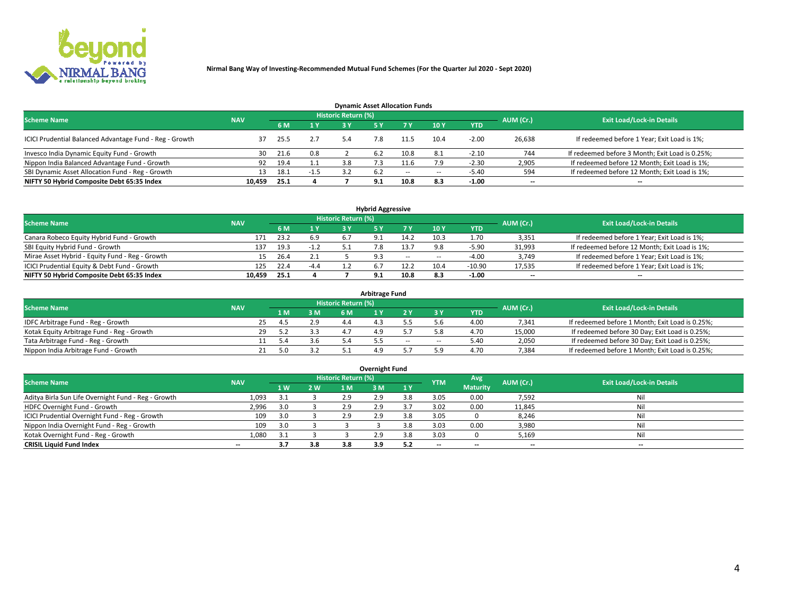

| <b>Dynamic Asset Allocation Funds</b>                   |            |      |     |                            |     |        |      |            |           |                                                 |  |  |  |  |
|---------------------------------------------------------|------------|------|-----|----------------------------|-----|--------|------|------------|-----------|-------------------------------------------------|--|--|--|--|
| <b>Scheme Name</b>                                      | <b>NAV</b> |      |     | <b>Historic Return (%)</b> |     |        |      |            | AUM (Cr.) | <b>Exit Load/Lock-in Details</b>                |  |  |  |  |
|                                                         |            | 6 M  | 1 Y | ا ?                        |     |        | 10Y  | <b>YTD</b> |           |                                                 |  |  |  |  |
| ICICI Prudential Balanced Advantage Fund - Reg - Growth |            | 25.5 |     | 5.4                        | 7.8 | 11.5   | 10.4 | $-2.00$    | 26,638    | If redeemed before 1 Year; Exit Load is 1%;     |  |  |  |  |
| Invesco India Dynamic Equity Fund - Growth              | 30         | 21.6 | 0.8 |                            | 6.2 | 10.8   | 8.1  | $-2.10$    | 744       | If redeemed before 3 Month; Exit Load is 0.25%; |  |  |  |  |
| Nippon India Balanced Advantage Fund - Growth           | 92         | 19.4 |     | 3.8                        |     | 11.6   |      | $-2.30$    | 2,905     | If redeemed before 12 Month; Exit Load is 1%;   |  |  |  |  |
| SBI Dynamic Asset Allocation Fund - Reg - Growth        |            | 18.1 |     |                            | 6.2 | $\sim$ | -    | -5.40      | 594       | If redeemed before 12 Month; Exit Load is 1%;   |  |  |  |  |
| NIFTY 50 Hybrid Composite Debt 65:35 Index              | 10,459     | 25.1 |     |                            | 9.1 | 10.8   | 8.3  | $-1.00$    | $- -$     | $- -$                                           |  |  |  |  |

| <b>Hybrid Aggressive</b>                        |                                                                             |      |            |     |  |            |            |            |        |                                               |  |  |  |  |  |
|-------------------------------------------------|-----------------------------------------------------------------------------|------|------------|-----|--|------------|------------|------------|--------|-----------------------------------------------|--|--|--|--|--|
|                                                 | <b>Historic Return (%)</b><br>AUM (Cr.)<br><b>Scheme Name</b><br><b>NAV</b> |      |            |     |  |            |            |            |        |                                               |  |  |  |  |  |
|                                                 |                                                                             |      | <b>ALV</b> | R V |  |            | <b>10Y</b> | <b>YTD</b> |        | <b>Exit Load/Lock-in Details</b>              |  |  |  |  |  |
| Canara Robeco Equity Hybrid Fund - Growth       | 171                                                                         | 23.2 | 6.9        |     |  | 14.2       | 10.3       | 1.70       | 3,351  | If redeemed before 1 Year; Exit Load is 1%;   |  |  |  |  |  |
| SBI Equity Hybrid Fund - Growth                 | 137                                                                         | 19.3 | $-1.2$     |     |  | 13.7       |            | $-5.90$    | 31,993 | If redeemed before 12 Month; Exit Load is 1%; |  |  |  |  |  |
| Mirae Asset Hybrid - Equity Fund - Reg - Growth |                                                                             | 26.4 | 2.1        |     |  | $\sim$ $-$ | $\sim$     | $-4.00$    | 3,749  | If redeemed before 1 Year; Exit Load is 1%;   |  |  |  |  |  |
| ICICI Prudential Equity & Debt Fund - Growth    | 125                                                                         | 22.4 | $-4.4$     |     |  | 12.2       | 10.4       | $-10.90$   | 17,535 | If redeemed before 1 Year; Exit Load is 1%;   |  |  |  |  |  |
| NIFTY 50 Hybrid Composite Debt 65:35 Index      | 10.459                                                                      | 25.1 |            |     |  | 10.8       | 8.3        | $-1.00$    | --     | $- -$                                         |  |  |  |  |  |

| <b>Arbitrage Fund</b>                      |            |    |     |     |                            |  |       |        |            |           |                                                 |  |  |  |
|--------------------------------------------|------------|----|-----|-----|----------------------------|--|-------|--------|------------|-----------|-------------------------------------------------|--|--|--|
| <b>Scheme Name</b>                         | <b>NAV</b> |    |     |     | <b>Historic Return (%)</b> |  |       |        |            | AUM (Cr.) | <b>Exit Load/Lock-in Details</b>                |  |  |  |
|                                            |            |    | 1 M | 3 M |                            |  |       |        | <b>YTD</b> |           |                                                 |  |  |  |
| IDFC Arbitrage Fund - Reg - Growth         |            |    | 45  | 2.9 | 4.4                        |  |       |        | 4.00       | 7,341     | If redeemed before 1 Month; Exit Load is 0.25%; |  |  |  |
| Kotak Equity Arbitrage Fund - Reg - Growth |            | 29 |     |     |                            |  |       |        | 4.7C       | 15,000    | If redeemed before 30 Day; Exit Load is 0.25%;  |  |  |  |
| Tata Arbitrage Fund - Reg - Growth         |            |    |     | 3.6 |                            |  | $- -$ | $\sim$ | 5.40       | 2,050     | If redeemed before 30 Day; Exit Load is 0.25%;  |  |  |  |
| Nippon India Arbitrage Fund - Growth       |            |    | 5.0 |     |                            |  |       |        | 4.70       | 7,384     | If redeemed before 1 Month; Exit Load is 0.25%; |  |  |  |

| Overnight Fund                                      |            |     |     |                     |     |     |            |                 |           |                                  |  |  |  |
|-----------------------------------------------------|------------|-----|-----|---------------------|-----|-----|------------|-----------------|-----------|----------------------------------|--|--|--|
| <b>Scheme Name</b>                                  | <b>NAV</b> |     |     | Historic Return (%) |     |     | <b>YTM</b> | Avg             | AUM (Cr.) | <b>Exit Load/Lock-in Details</b> |  |  |  |
|                                                     |            | 1W  | 2 W | 1 M                 | 3 M | 1Y  |            | <b>Maturity</b> |           |                                  |  |  |  |
| Aditya Birla Sun Life Overnight Fund - Reg - Growth | 1,093      |     |     | 2.9                 | 2.9 |     | 3.05       | 0.00            | 7,592     | Nil                              |  |  |  |
| HDFC Overnight Fund - Growth                        | 2,996      |     |     | 2.9                 | 2.9 |     | 3.02       | 0.00            | 11,845    | Nil                              |  |  |  |
| ICICI Prudential Overnight Fund - Reg - Growth      | 109        |     |     | 2.9                 | 2.9 |     | 3.05       |                 | 8,246     | Nil                              |  |  |  |
| Nippon India Overnight Fund - Reg - Growth          | 109        | 3.0 |     |                     |     |     | 3.03       | 0.00            | 3,980     | Nil                              |  |  |  |
| Kotak Overnight Fund - Reg - Growth                 | 1.080      |     |     |                     | 2.9 | 3.8 | 3.03       |                 | 5,169     | Nil                              |  |  |  |
| <b>CRISIL Liquid Fund Index</b>                     | $- -$      | 3.7 | 3.8 | 3.8                 | 3.9 | 5.2 | --         | --              | $- -$     | --                               |  |  |  |

#### **Overnight Fund**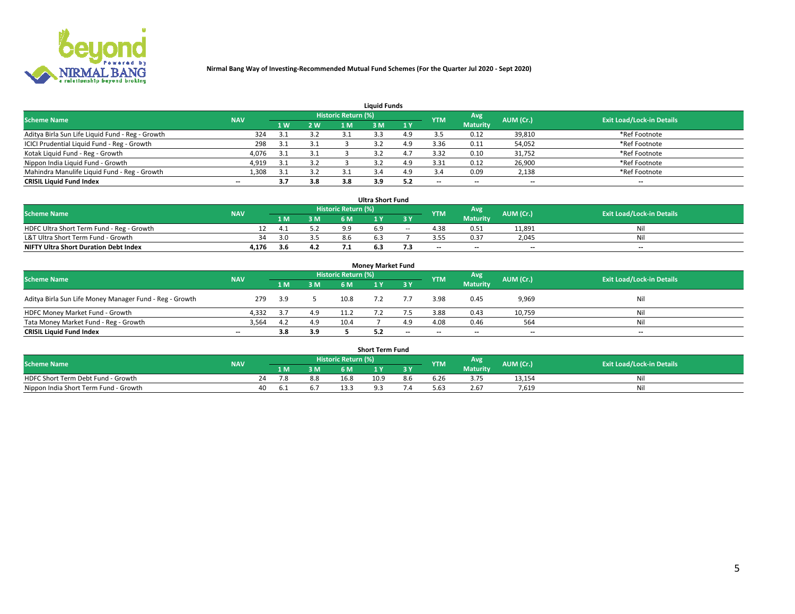

| <b>Liquid Funds</b>                              |            |     |     |                     |     |     |            |                 |           |                                  |  |  |  |  |
|--------------------------------------------------|------------|-----|-----|---------------------|-----|-----|------------|-----------------|-----------|----------------------------------|--|--|--|--|
| <b>Scheme Name</b>                               | <b>NAV</b> |     |     | Historic Return (%) |     |     | <b>YTM</b> | Avg             | AUM (Cr.) | <b>Exit Load/Lock-in Details</b> |  |  |  |  |
|                                                  |            | 4W  | 2 W | 1 M                 | M   | 1Y  |            | <b>Maturity</b> |           |                                  |  |  |  |  |
| Aditya Birla Sun Life Liquid Fund - Reg - Growth | 324        |     | 3.2 |                     |     |     |            | 0.12            | 39,810    | *Ref Footnote                    |  |  |  |  |
| ICICI Prudential Liquid Fund - Reg - Growth      | 298        | 3.1 | 3.1 |                     |     | 4.9 | 3.36       | 0.11            | 54,052    | *Ref Footnote                    |  |  |  |  |
| Kotak Liquid Fund - Reg - Growth                 | 4,076      | 3.1 | 3.1 |                     |     |     | 3.32       | 0.10            | 31,752    | *Ref Footnote                    |  |  |  |  |
| Nippon India Liquid Fund - Growth                | 4,919      | 3.1 | 3.2 |                     |     | 4.9 | 3.31       | 0.12            | 26,900    | *Ref Footnote                    |  |  |  |  |
| Mahindra Manulife Liquid Fund - Reg - Growth     | 1,308      | 3.1 | 3.2 |                     |     | 4.9 |            | 0.09            | 2,138     | *Ref Footnote                    |  |  |  |  |
| <b>CRISIL Liquid Fund Index</b>                  | $- -$      | 3.7 | 3.8 | 3.8                 | 3.9 |     | --         | $- -$           | --        | $\overline{\phantom{a}}$         |  |  |  |  |

| <b>Ultra Short Fund</b>                      |            |     |     |                            |  |        |            |                 |                          |                                  |  |  |  |  |
|----------------------------------------------|------------|-----|-----|----------------------------|--|--------|------------|-----------------|--------------------------|----------------------------------|--|--|--|--|
| <b>Scheme Name</b>                           | <b>NAV</b> |     |     | <b>Historic Return (%)</b> |  |        | <b>YTM</b> | Avg             | AUM (Cr.)                | <b>Exit Load/Lock-in Details</b> |  |  |  |  |
|                                              |            | 1 M | 3 M | 6 M                        |  | 3 Y    |            | <b>Maturity</b> |                          |                                  |  |  |  |  |
| HDFC Ultra Short Term Fund - Reg - Growth    |            |     |     | $^{\circ}$                 |  | $\sim$ |            | 0.51            | 11,891                   | Nil                              |  |  |  |  |
| L&T Ultra Short Term Fund - Growth           | 34         | 3.0 |     | 8.6                        |  |        | 3.55       | 0.37            | 2.045                    | Nil                              |  |  |  |  |
| <b>NIFTY Ultra Short Duration Debt Index</b> | 4,176      | 3.6 | 4.2 |                            |  |        | $- -$      | $- -$           | $\overline{\phantom{a}}$ | $- -$                            |  |  |  |  |

| <b>Monev Market Fund</b>                                |                          |     |     |                     |  |           |            |                 |           |                                  |  |  |  |  |
|---------------------------------------------------------|--------------------------|-----|-----|---------------------|--|-----------|------------|-----------------|-----------|----------------------------------|--|--|--|--|
| <b>Scheme Name</b>                                      | <b>NAV</b>               |     |     | Historic Return (%) |  |           | <b>YTM</b> | Avg.            | AUM (Cr.) | <b>Exit Load/Lock-in Details</b> |  |  |  |  |
|                                                         |                          | 1 M | 3 M | 6 M                 |  | <b>3Y</b> |            | <b>Maturity</b> |           |                                  |  |  |  |  |
| Aditya Birla Sun Life Money Manager Fund - Reg - Growth | 279                      | 3.9 |     | 10.8                |  |           | 3.98       | 0.45            | 9,969     | Nil                              |  |  |  |  |
| HDFC Money Market Fund - Growth                         | 4.332                    | 3.7 | 4.9 |                     |  |           | 3.88       | 0.43            | 10,759    | Nil                              |  |  |  |  |
| Tata Money Market Fund - Reg - Growth                   | 3,564                    | 4.2 | 4.9 | 10.4                |  | 4.9       | 4.08       | 0.46            | 564       | Nil                              |  |  |  |  |
| <b>CRISIL Liquid Fund Index</b>                         | $\overline{\phantom{a}}$ | 3.8 | 3.9 |                     |  | $-$       | $-$        | $- -$           | $- -$     | $\overline{\phantom{a}}$         |  |  |  |  |

|                                       | <b>Short Term Fund</b> |    |             |     |                            |              |     |            |                 |           |                                  |  |  |  |  |
|---------------------------------------|------------------------|----|-------------|-----|----------------------------|--------------|-----|------------|-----------------|-----------|----------------------------------|--|--|--|--|
| <b>Scheme Name</b>                    | <b>NAV</b>             |    |             |     | <b>Historic Return (%)</b> |              |     | <b>YTM</b> | Avg             | AUM (Cr.) | <b>Exit Load/Lock-in Details</b> |  |  |  |  |
|                                       |                        |    | 1 M         | 3 M | 6 M                        | $\mathbf{M}$ | 3 Y |            | <b>Maturity</b> |           |                                  |  |  |  |  |
| HDFC Short Term Debt Fund - Growth    |                        | 24 |             | 8.8 | 16.8                       | 10.9         | 8.6 | 6.26       | 3.75            | 13,154    | Nil                              |  |  |  |  |
| Nippon India Short Term Fund - Growth |                        | 40 | $n_{\cdot}$ |     |                            |              |     | .63        | 2.67            | 7.619     | Nil                              |  |  |  |  |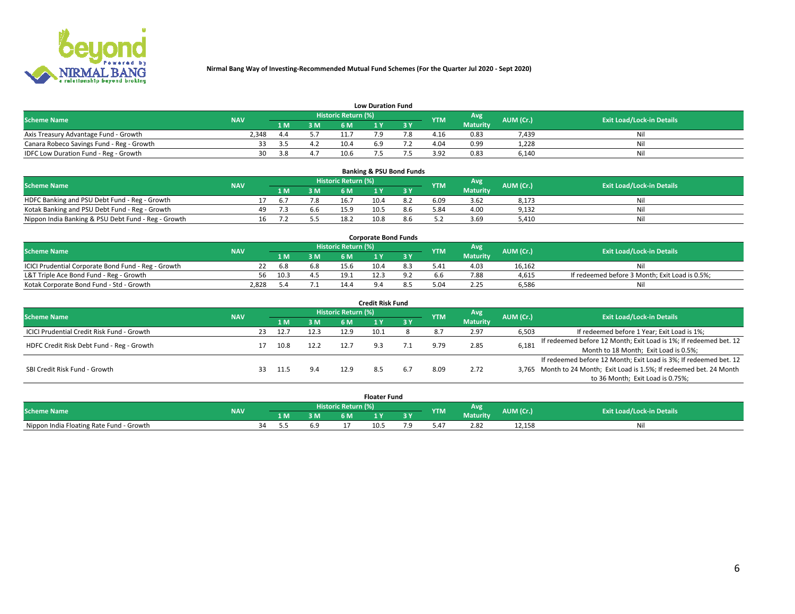

| <b>Low Duration Fund</b>                  |            |      |     |                            |     |     |            |                 |           |                                  |  |  |  |  |
|-------------------------------------------|------------|------|-----|----------------------------|-----|-----|------------|-----------------|-----------|----------------------------------|--|--|--|--|
| <b>Scheme Name</b>                        | <b>NAV</b> |      |     | <b>Historic Return (%)</b> |     |     | <b>YTM</b> | <b>Avg</b>      | AUM (Cr.) | <b>Exit Load/Lock-in Details</b> |  |  |  |  |
|                                           |            | 1 M  | 3 M |                            |     | 3 Y |            | <b>Maturity</b> |           |                                  |  |  |  |  |
| Axis Treasury Advantage Fund - Growth     | 2.348      | 4.4  | 57  |                            |     |     | 4.16       | 0.83            | 7,439     | Nil                              |  |  |  |  |
| Canara Robeco Savings Fund - Reg - Growth |            | - 35 | 4.2 | 10.4                       | 6.9 |     | 4.04       | 0.99            | 1,228     | Nil                              |  |  |  |  |
| IDFC Low Duration Fund - Reg - Growth     | 30         | 3.8  |     | 10.6                       |     |     | 3.92       | 0.83            | 6,140     | Nil                              |  |  |  |  |

| <b>Banking &amp; PSU Bond Funds</b>                 |            |    |     |     |                            |      |     |            |                 |           |                                  |  |  |  |
|-----------------------------------------------------|------------|----|-----|-----|----------------------------|------|-----|------------|-----------------|-----------|----------------------------------|--|--|--|
| <b>Scheme Name</b>                                  | <b>NAV</b> |    |     |     | <b>Historic Return (%)</b> |      |     | <b>YTM</b> | Avg             | AUM (Cr.) | <b>Exit Load/Lock-in Details</b> |  |  |  |
|                                                     |            |    |     | 3 M | 6 M                        |      |     |            | <b>Maturity</b> |           |                                  |  |  |  |
| HDFC Banking and PSU Debt Fund - Reg - Growth       |            |    | 6.7 | 7.8 | 16.7                       | 10.4 | 8.2 | 6.09       | 3.62            | 8,173     | Ni                               |  |  |  |
| Kotak Banking and PSU Debt Fund - Reg - Growth      |            | 49 |     | 6.6 | 15.9                       | 10.5 | 8.6 | 5.84       | 4.00            | 9,132     | Nil                              |  |  |  |
| Nippon India Banking & PSU Debt Fund - Reg - Growth |            | 16 |     |     | 18.7                       | 10.8 |     |            | 3.69            | 5.410     | Ni                               |  |  |  |

| <b>Corporate Bond Funds</b>                         |            |      |     |                            |      |  |            |                 |           |                                                |  |  |  |  |
|-----------------------------------------------------|------------|------|-----|----------------------------|------|--|------------|-----------------|-----------|------------------------------------------------|--|--|--|--|
| <b>Scheme Name</b>                                  | <b>NAV</b> |      |     | <b>Historic Return (%)</b> |      |  | <b>YTM</b> | Avg             | AUM (Cr.) | <b>Exit Load/Lock-in Details</b>               |  |  |  |  |
|                                                     |            |      | 3 M | 6 M                        |      |  |            | <b>Maturity</b> |           |                                                |  |  |  |  |
| ICICI Prudential Corporate Bond Fund - Reg - Growth |            | 6.8  | 6.8 | 15.6                       | 10.4 |  | 5.41       | 4.03            | 16.162    | Nil                                            |  |  |  |  |
| L&T Triple Ace Bond Fund - Reg - Growth             | 56         | 10.3 |     | 19.1                       |      |  |            | 7.88            | 4,615     | If redeemed before 3 Month; Exit Load is 0.5%; |  |  |  |  |
| Kotak Corporate Bond Fund - Std - Growth            | 2.828      |      |     | 144                        |      |  |            | 2.25            | 6,586     | Nil                                            |  |  |  |  |

| <b>Credit Risk Fund</b>                    |            |    |      |      |                            |      |     |            |                 |           |                                                                       |  |  |  |
|--------------------------------------------|------------|----|------|------|----------------------------|------|-----|------------|-----------------|-----------|-----------------------------------------------------------------------|--|--|--|
| <b>Scheme Name</b>                         | <b>NAV</b> |    |      |      | <b>Historic Return (%)</b> |      |     | <b>YTM</b> | <b>Avg</b>      | AUM (Cr.) | <b>Exit Load/Lock-in Details</b>                                      |  |  |  |
|                                            |            |    | 1 M  | 3 M  | 6 M                        |      | 3 Y |            | <b>Maturity</b> |           |                                                                       |  |  |  |
| ICICI Prudential Credit Risk Fund - Growth |            | 23 | 12.7 | 12.3 | 12.9                       | 10.1 |     |            | 2.97            | 6,503     | If redeemed before 1 Year; Exit Load is 1%;                           |  |  |  |
| HDFC Credit Risk Debt Fund - Reg - Growth  |            |    | 10.8 | 12.2 | 12.7                       |      |     | 9.79       | 2.85            | 6,181     | If redeemed before 12 Month; Exit Load is 1%; If redeemed bet. 12     |  |  |  |
|                                            |            |    |      |      |                            |      |     |            |                 |           | Month to 18 Month; Exit Load is 0.5%;                                 |  |  |  |
|                                            |            |    |      |      |                            |      |     |            |                 |           | If redeemed before 12 Month; Exit Load is 3%; If redeemed bet. 12     |  |  |  |
| SBI Credit Risk Fund - Growth              |            |    |      |      | 12.9                       | 8.5  |     | 8.09       | 2.72            |           | 3,765 Month to 24 Month; Exit Load is 1.5%; If redeemed bet. 24 Month |  |  |  |
|                                            |            |    |      |      |                            |      |     |            |                 |           | to 36 Month; Exit Load is 0.75%;                                      |  |  |  |

| <b>Floater Fund</b>                      |            |    |     |     |                     |      |   |               |                 |           |                                  |  |
|------------------------------------------|------------|----|-----|-----|---------------------|------|---|---------------|-----------------|-----------|----------------------------------|--|
| <b>Scheme Name</b>                       | <b>NAV</b> |    |     |     | Historic Return (%) |      |   | <b>YTM</b>    | Avg             | AUM (Cr.) | <b>Exit Load/Lock-in Details</b> |  |
|                                          |            |    | 1 M | ЗM  | 5M                  | .    | . |               | <b>Maturity</b> |           |                                  |  |
| Nippon India Floating Rate Fund - Growth |            | ٦Δ |     | 0.9 |                     | 10.5 |   | $0.4^{\circ}$ | 2.82            | 12,158    | NL                               |  |